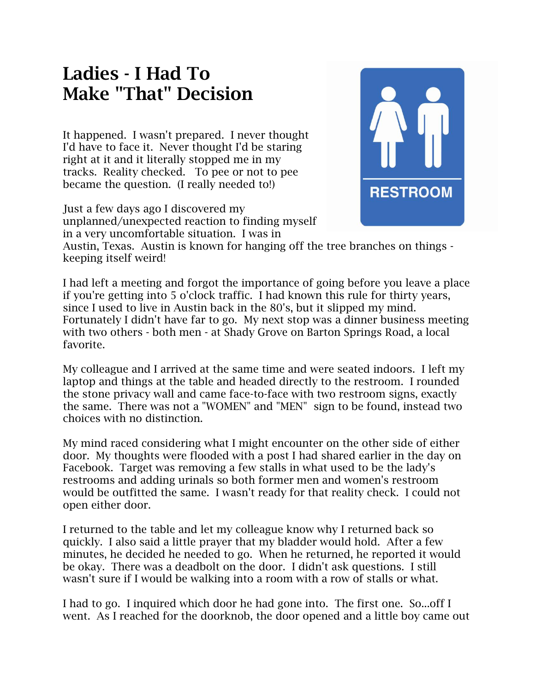## **Ladies - I Had To Make "That" Decision**

It happened. I wasn't prepared. I never thought I'd have to face it. Never thought I'd be staring right at it and it literally stopped me in my tracks. Reality checked. To pee or not to pee became the question. (I really needed to!)

Just a few days ago I discovered my unplanned/unexpected reaction to finding myself in a very uncomfortable situation. I was in



Austin, Texas. Austin is known for hanging off the tree branches on things keeping itself weird!

I had left a meeting and forgot the importance of going before you leave a place if you're getting into 5 o'clock traffic. I had known this rule for thirty years, since I used to live in Austin back in the 80's, but it slipped my mind. Fortunately I didn't have far to go. My next stop was a dinner business meeting with two others - both men - at Shady Grove on Barton Springs Road, a local favorite.

My colleague and I arrived at the same time and were seated indoors. I left my laptop and things at the table and headed directly to the restroom. I rounded the stone privacy wall and came face-to-face with two restroom signs, exactly the same. There was not a "WOMEN" and "MEN" sign to be found, instead two choices with no distinction.

My mind raced considering what I might encounter on the other side of either door. My thoughts were flooded with a post I had shared earlier in the day on Facebook. Target was removing a few stalls in what used to be the lady's restrooms and adding urinals so both former men and women's restroom would be outfitted the same. I wasn't ready for that reality check. I could not open either door.

I returned to the table and let my colleague know why I returned back so quickly. I also said a little prayer that my bladder would hold. After a few minutes, he decided he needed to go. When he returned, he reported it would be okay. There was a deadbolt on the door. I didn't ask questions. I still wasn't sure if I would be walking into a room with a row of stalls or what.

I had to go. I inquired which door he had gone into. The first one. So...off I went. As I reached for the doorknob, the door opened and a little boy came out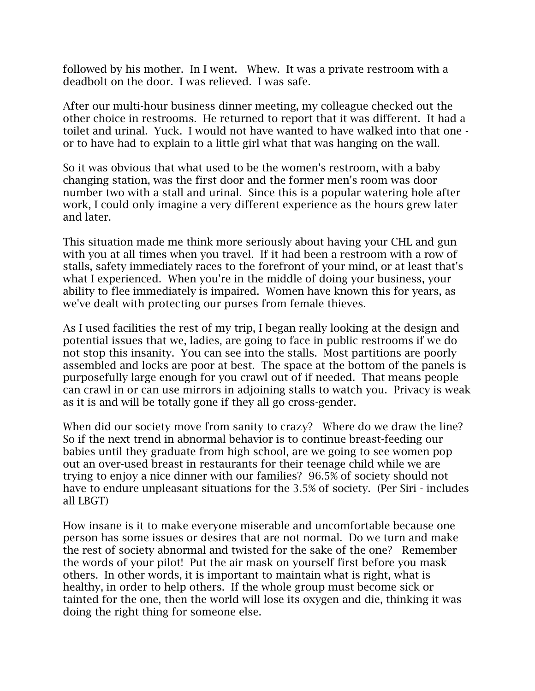followed by his mother. In I went. Whew. It was a private restroom with a deadbolt on the door. I was relieved. I was safe.

After our multi-hour business dinner meeting, my colleague checked out the other choice in restrooms. He returned to report that it was different. It had a toilet and urinal. Yuck. I would not have wanted to have walked into that one or to have had to explain to a little girl what that was hanging on the wall.

So it was obvious that what used to be the women's restroom, with a baby changing station, was the first door and the former men's room was door number two with a stall and urinal. Since this is a popular watering hole after work, I could only imagine a very different experience as the hours grew later and later.

This situation made me think more seriously about having your CHL and gun with you at all times when you travel. If it had been a restroom with a row of stalls, safety immediately races to the forefront of your mind, or at least that's what I experienced. When you're in the middle of doing your business, your ability to flee immediately is impaired. Women have known this for years, as we've dealt with protecting our purses from female thieves.

As I used facilities the rest of my trip, I began really looking at the design and potential issues that we, ladies, are going to face in public restrooms if we do not stop this insanity. You can see into the stalls. Most partitions are poorly assembled and locks are poor at best. The space at the bottom of the panels is purposefully large enough for you crawl out of if needed. That means people can crawl in or can use mirrors in adjoining stalls to watch you. Privacy is weak as it is and will be totally gone if they all go cross-gender.

When did our society move from sanity to crazy? Where do we draw the line? So if the next trend in abnormal behavior is to continue breast-feeding our babies until they graduate from high school, are we going to see women pop out an over-used breast in restaurants for their teenage child while we are trying to enjoy a nice dinner with our families? 96.5% of society should not have to endure unpleasant situations for the 3.5% of society. (Per Siri - includes all LBGT)

How insane is it to make everyone miserable and uncomfortable because one person has some issues or desires that are not normal. Do we turn and make the rest of society abnormal and twisted for the sake of the one? Remember the words of your pilot! Put the air mask on yourself first before you mask others. In other words, it is important to maintain what is right, what is healthy, in order to help others. If the whole group must become sick or tainted for the one, then the world will lose its oxygen and die, thinking it was doing the right thing for someone else.